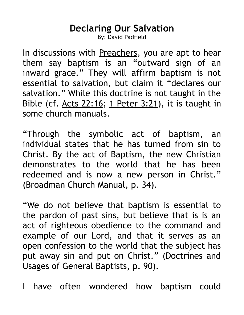## **Declaring Our Salvation**

By: David Padfield

In discussions with Preachers, you are apt to hear them say baptism is an "outward sign of an inward grace." They will affirm baptism is not essential to salvation, but claim it "declares our salvation." While this doctrine is not taught in the Bible (cf.  $Acts$  22:16; 1 Peter 3:21), it is taught in some church manuals.

"Through the symbolic act of baptism, an individual states that he has turned from sin to Christ. By the act of Baptism, the new Christian demonstrates to the world that he has been redeemed and is now a new person in Christ." (Broadman Church Manual, p. 34).

"We do not believe that baptism is essential to the pardon of past sins, but believe that is is an act of righteous obedience to the command and example of our Lord, and that it serves as an open confession to the world that the subject has put away sin and put on Christ." (Doctrines and Usages of General Baptists, p. 90).

I have often wondered how baptism could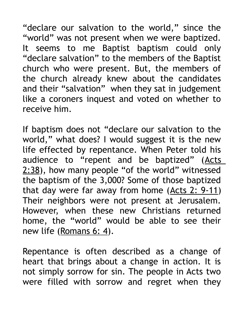"declare our salvation to the world," since the "world" was not present when we were baptized. It seems to me Baptist baptism could only "declare salvation" to the members of the Baptist church who were present. But, the members of the church already knew about the candidates and their "salvation" when they sat in judgement like a coroners inquest and voted on whether to receive him.

If baptism does not "declare our salvation to the world," what does? I would suggest it is the new life effected by repentance. When Peter told his audience to "repent and be baptized" (Acts 2:38), how many people "of the world" witnessed the baptism of the 3,000? Some of those baptized that day were far away from home  $(Acts 2: 9-11)$ Their neighbors were not present at Jerusalem. However, when these new Christians returned home, the "world" would be able to see their new life (Romans 6: 4).

Repentance is often described as a change of heart that brings about a change in action. It is not simply sorrow for sin. The people in Acts two were filled with sorrow and regret when they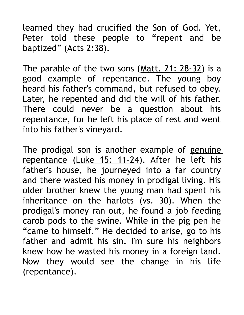learned they had crucified the Son of God. Yet, Peter told these people to "repent and be baptized" (Acts 2:38).

The parable of the two sons (Matt. 21: 28-32) is a good example of repentance. The young boy heard his father's command, but refused to obey. Later, he repented and did the will of his father. There could never be a question about his repentance, for he left his place of rest and went into his father's vineyard.

The prodigal son is another example of genuine repentance (Luke 15: 11-24). After he left his father's house, he journeyed into a far country and there wasted his money in prodigal living. His older brother knew the young man had spent his inheritance on the harlots (vs. 30). When the prodigal's money ran out, he found a job feeding carob pods to the swine. While in the pig pen he "came to himself." He decided to arise, go to his father and admit his sin. I'm sure his neighbors knew how he wasted his money in a foreign land. Now they would see the change in his life (repentance).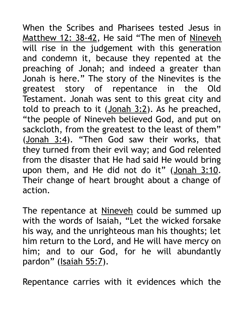When the Scribes and Pharisees tested Jesus in Matthew 12: 38-42, He said "The men of Nineveh will rise in the judgement with this generation and condemn it, because they repented at the preaching of Jonah; and indeed a greater than Jonah is here." The story of the Ninevites is the greatest story of repentance in the Old Testament. Jonah was sent to this great city and told to preach to it  $(Jonah 3:2)$ . As he preached, "the people of Nineveh believed God, and put on sackcloth, from the greatest to the least of them" (Jonah 3:4). "Then God saw their works, that they turned from their evil way; and God relented from the disaster that He had said He would bring upon them, and He did not do it" (Jonah 3:10. Their change of heart brought about a change of action.

The repentance at Nineveh could be summed up with the words of Isaiah, "Let the wicked forsake his way, and the unrighteous man his thoughts; let him return to the Lord, and He will have mercy on him; and to our God, for he will abundantly pardon" (Isaiah 55:7).

Repentance carries with it evidences which the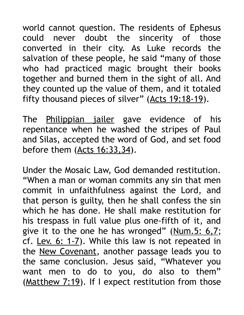world cannot question. The residents of Ephesus could never doubt the sincerity of those converted in their city. As Luke records the salvation of these people, he said "many of those who had practiced magic brought their books together and burned them in the sight of all. And they counted up the value of them, and it totaled fifty thousand pieces of silver" (Acts 19:18-19).

The Philippian jailer gave evidence of his repentance when he washed the stripes of Paul and Silas, accepted the word of God, and set food before them (Acts 16:33, 34).

Under the Mosaic Law, God demanded restitution. "When a man or woman commits any sin that men commit in unfaithfulness against the Lord, and that person is guilty, then he shall confess the sin which he has done. He shall make restitution for his trespass in full value plus one-fifth of it, and give it to the one he has wronged" ( $Num.5: 6,7;$ cf. Lev. 6: 1-7). While this law is not repeated in the New Covenant, another passage leads you to the same conclusion. Jesus said, "Whatever you want men to do to you, do also to them" (Matthew 7:19). If I expect restitution from those